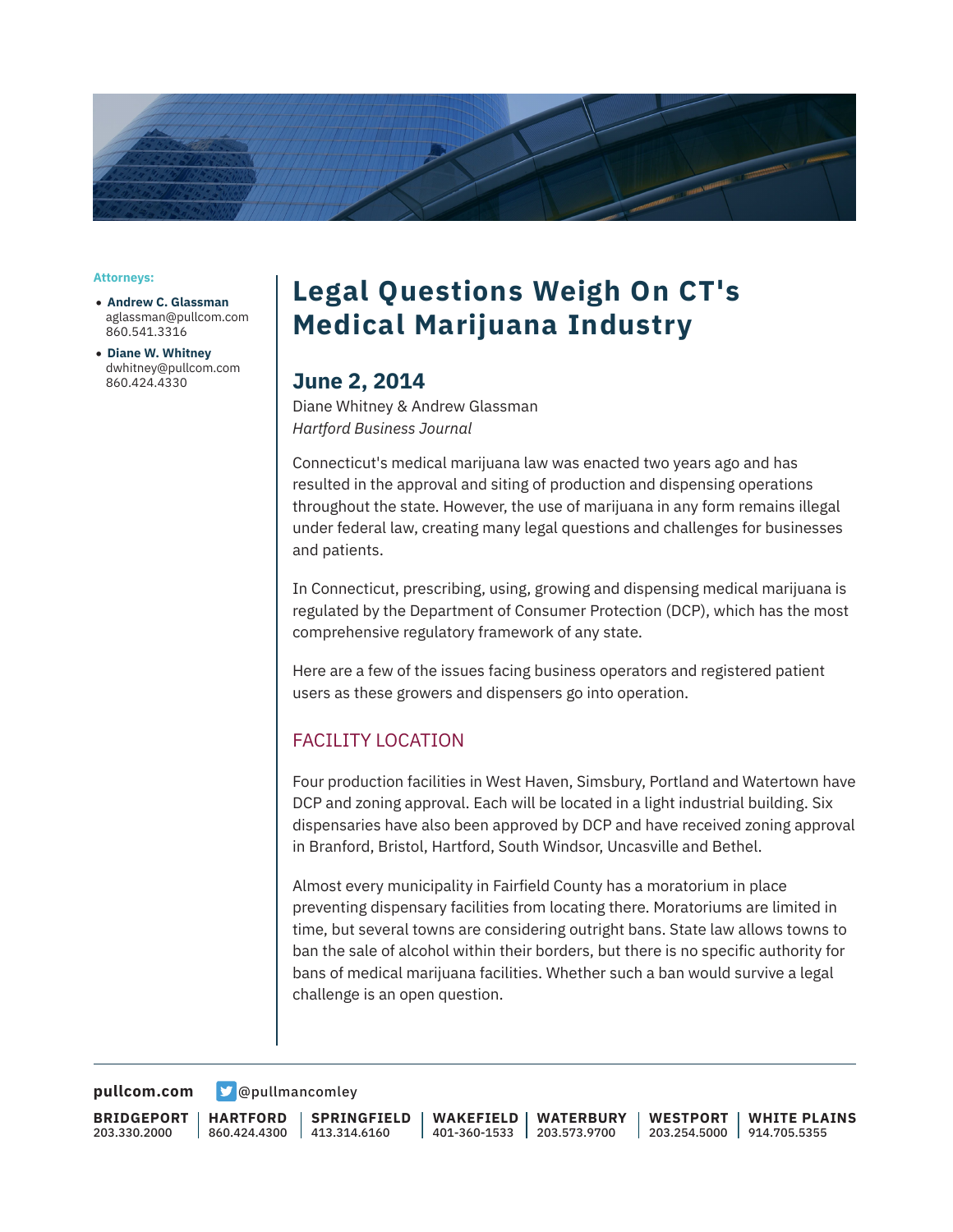

**Attorneys:**

- **Andrew C. Glassman** aglassman@pullcom.com 860.541.3316
- **Diane W. Whitney** dwhitney@pullcom.com 860.424.4330

## **Legal Questions Weigh On CT's Medical Marijuana Industry**

### **June 2, 2014**

Diane Whitney & Andrew Glassman *Hartford Business Journal*

Connecticut's medical marijuana law was enacted two years ago and has resulted in the approval and siting of production and dispensing operations throughout the state. However, the use of marijuana in any form remains illegal under federal law, creating many legal questions and challenges for businesses and patients.

In Connecticut, prescribing, using, growing and dispensing medical marijuana is regulated by the Department of Consumer Protection (DCP), which has the most comprehensive regulatory framework of any state.

Here are a few of the issues facing business operators and registered patient users as these growers and dispensers go into operation.

### FACILITY LOCATION

Four production facilities in West Haven, Simsbury, Portland and Watertown have DCP and zoning approval. Each will be located in a light industrial building. Six dispensaries have also been approved by DCP and have received zoning approval in Branford, Bristol, Hartford, South Windsor, Uncasville and Bethel.

Almost every municipality in Fairfield County has a moratorium in place preventing dispensary facilities from locating there. Moratoriums are limited in time, but several towns are considering outright bans. State law allows towns to ban the sale of alcohol within their borders, but there is no specific authority for bans of medical marijuana facilities. Whether such a ban would survive a legal challenge is an open question.

**[pullcom.com](https://www.pullcom.com) g** [@pullmancomley](https://twitter.com/PullmanComley)

**BRIDGEPORT** 203.330.2000

**HARTFORD** 860.424.4300

**SPRINGFIELD**  $1413.314.6160$ 

**WAKEFIELD** 401-360-1533 203.573.9700 **WATERBURY**

**WESTPORT** 203.254.5000 914.705.5355 **WHITE PLAINS**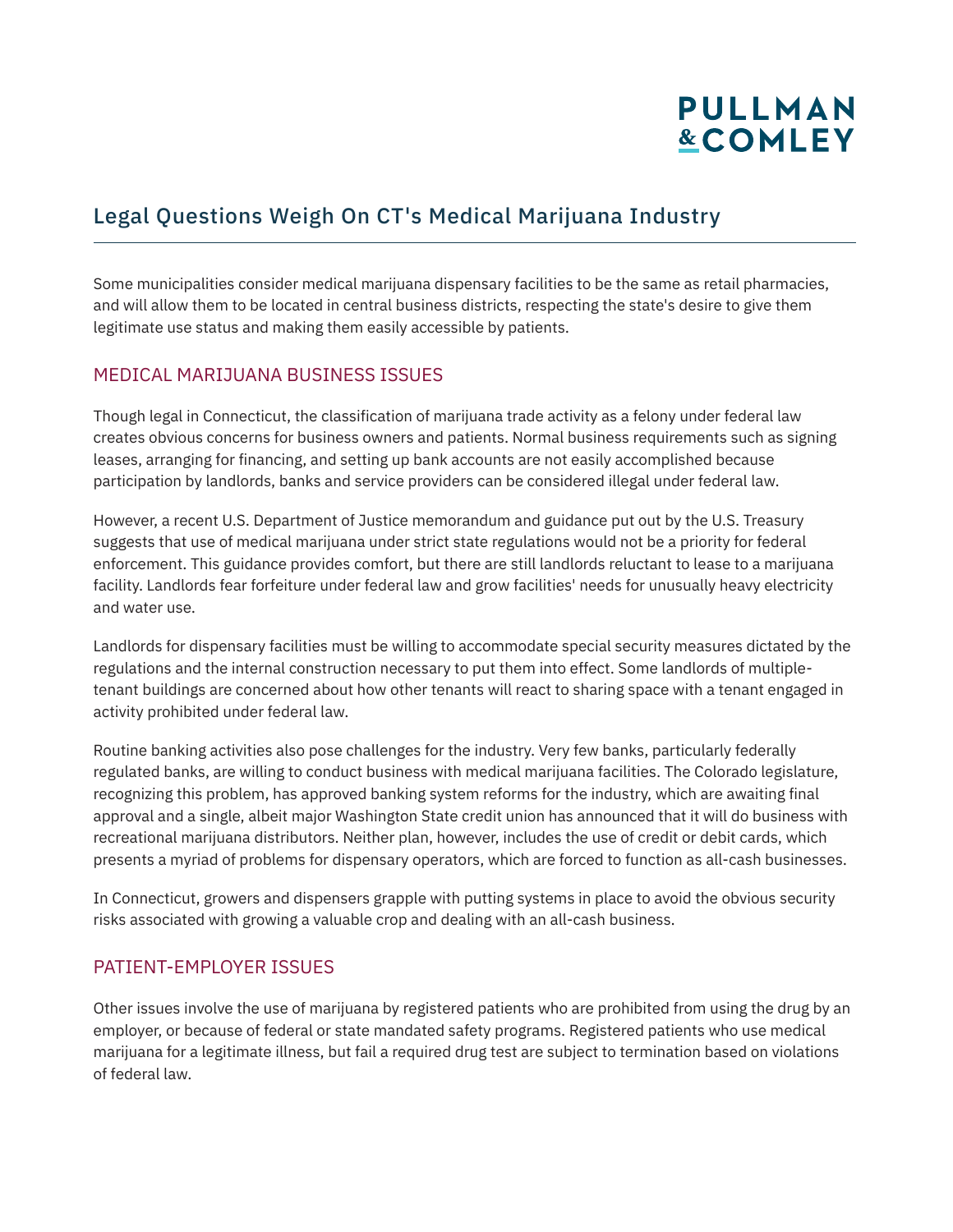# **PULLMAN &COMLEY**

## Legal Questions Weigh On CT's Medical Marijuana Industry

Some municipalities consider medical marijuana dispensary facilities to be the same as retail pharmacies, and will allow them to be located in central business districts, respecting the state's desire to give them legitimate use status and making them easily accessible by patients.

#### MEDICAL MARIJUANA BUSINESS ISSUES

Though legal in Connecticut, the classification of marijuana trade activity as a felony under federal law creates obvious concerns for business owners and patients. Normal business requirements such as signing leases, arranging for financing, and setting up bank accounts are not easily accomplished because participation by landlords, banks and service providers can be considered illegal under federal law.

However, a recent U.S. Department of Justice memorandum and guidance put out by the U.S. Treasury suggests that use of medical marijuana under strict state regulations would not be a priority for federal enforcement. This guidance provides comfort, but there are still landlords reluctant to lease to a marijuana facility. Landlords fear forfeiture under federal law and grow facilities' needs for unusually heavy electricity and water use.

Landlords for dispensary facilities must be willing to accommodate special security measures dictated by the regulations and the internal construction necessary to put them into effect. Some landlords of multipletenant buildings are concerned about how other tenants will react to sharing space with a tenant engaged in activity prohibited under federal law.

Routine banking activities also pose challenges for the industry. Very few banks, particularly federally regulated banks, are willing to conduct business with medical marijuana facilities. The Colorado legislature, recognizing this problem, has approved banking system reforms for the industry, which are awaiting final approval and a single, albeit major Washington State credit union has announced that it will do business with recreational marijuana distributors. Neither plan, however, includes the use of credit or debit cards, which presents a myriad of problems for dispensary operators, which are forced to function as all-cash businesses.

In Connecticut, growers and dispensers grapple with putting systems in place to avoid the obvious security risks associated with growing a valuable crop and dealing with an all-cash business.

#### PATIENT-EMPLOYER ISSUES

Other issues involve the use of marijuana by registered patients who are prohibited from using the drug by an employer, or because of federal or state mandated safety programs. Registered patients who use medical marijuana for a legitimate illness, but fail a required drug test are subject to termination based on violations of federal law.